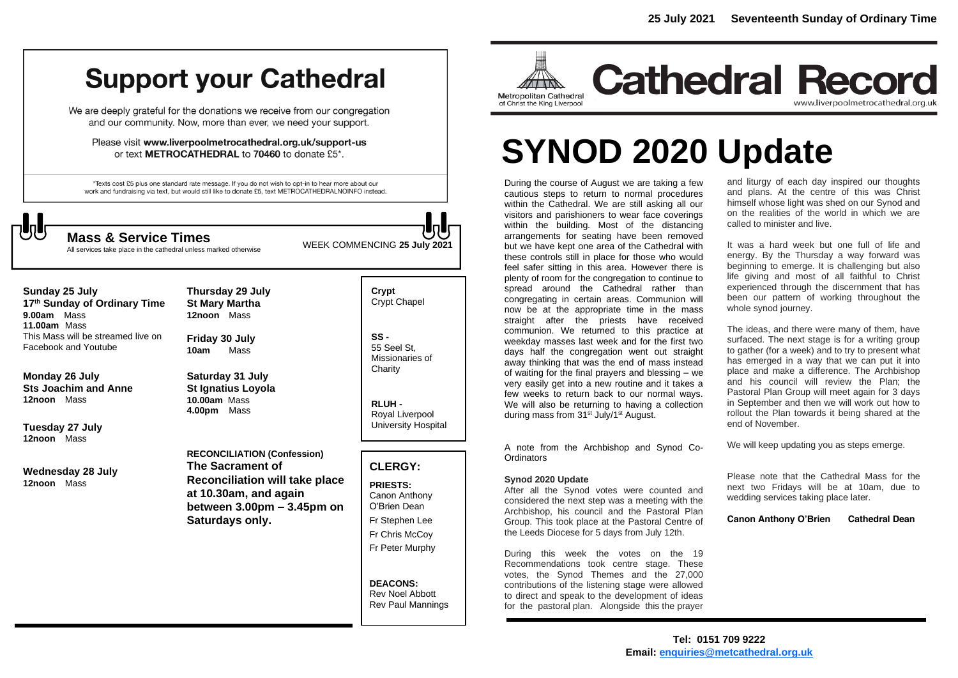## **Support your Cathedral**

We are deeply grateful for the donations we receive from our congregation and our community. Now, more than ever, we need your support.

Please visit www.liverpoolmetrocathedral.org.uk/support-us or text METROCATHEDRAL to 70460 to donate £5\*.

\*Texts cost £5 plus one standard rate message. If you do not wish to opt-in to hear more about our work and fundraising via text, but would still like to donate £5, text METROCATHEDRALNOINFO instead.



All services take place in the cathedral unless marked otherwise

WEEK COMMENCING **<sup>25</sup> July <sup>2021</sup> Mass & Service Times**

**Sunday 25 July** 

**17 th Sunday of Ordinary Time 9.00am** Mass **11.00am** Mass This Mass will be streamed live on Facebook and Youtube

**Monday 26 July Sts Joachim and Anne 12noon** Mass

**Tuesday 27 July 12noon** Mass

**Wednesday 28 July 12noon** Mass

**Thursday 29 July St Mary Martha 12noon** Mass

**Friday 30 July 10am** Mass

**Saturday 31 July St Ignatius Loyola 10.00am** Mass **4.00pm** Mass

**RECONCILIATION (Confession) The Sacrament of Reconciliation will take place at 10.30am, and again between 3.00pm – 3.45pm on Saturdays only.**

**Crypt**  Crypt Chapel

**SS -** 55 Seel St, Missionaries of **Charity** 

**RLUH -** Royal Liverpool University Hospital

#### **CLERGY:**

**PRIESTS:** Canon Anthony O'Brien *Dean* Fr Stephen Lee Fr Chris McCoy Fr Peter Murphy

**DEACONS:** Rev Noel Abbott Rev Paul Mannings



**Cathedral Record** www.liverpoolmetrocathedral.org.uk

# **SYNOD 2020 Update**

During the course of August we are taking a few cautious steps to return to normal procedures within the Cathedral. We are still asking all our visitors and parishioners to wear face coverings within the building. Most of the distancing arrangements for seating have been removed but we have kept one area of the Cathedral with these controls still in place for those who would feel safer sitting in this area. However there is plenty of room for the congregation to continue to spread around the Cathedral rather than congregating in certain areas. Communion will now be at the appropriate time in the mass straight after the priests have received communion. We returned to this practice at weekday masses last week and for the first two days half the congregation went out straight away thinking that was the end of mass instead of waiting for the final prayers and blessing – we very easily get into a new routine and it takes a few weeks to return back to our normal ways. We will also be returning to having a collection during mass from 31<sup>st</sup> July/1<sup>st</sup> August.

A note from the Archbishop and Synod Co-**Ordinators** 

#### **Synod 2020 Update**

After all the Synod votes were counted and considered the next step was a meeting with the Archbishop, his council and the Pastoral Plan Group. This took place at the Pastoral Centre of the Leeds Diocese for 5 days from July 12th.

During this week the votes on the 19 Recommendations took centre stage. These votes, the Synod Themes and the 27,000 contributions of the listening stage were allowed to direct and speak to the development of ideas for the pastoral plan. Alongside this the prayer

and liturgy of each day inspired our thoughts and plans. At the centre of this was Christ himself whose light was shed on our Synod and on the realities of the world in which we are called to minister and live.

It was a hard week but one full of life and energy. By the Thursday a way forward was beginning to emerge. It is challenging but also life giving and most of all faithful to Christ experienced through the discernment that has been our pattern of working throughout the whole synod journey.

The ideas, and there were many of them, have surfaced. The next stage is for a writing group to gather (for a week) and to try to present what has emerged in a way that we can put it into place and make a difference. The Archbishop and his council will review the Plan; the Pastoral Plan Group will meet again for 3 days in September and then we will work out how to rollout the Plan towards it being shared at the end of November.

We will keep updating you as steps emerge.

Please note that the Cathedral Mass for the next two Fridays will be at 10am, due to wedding services taking place later.

**Canon Anthony O'Brien Cathedral Dean**